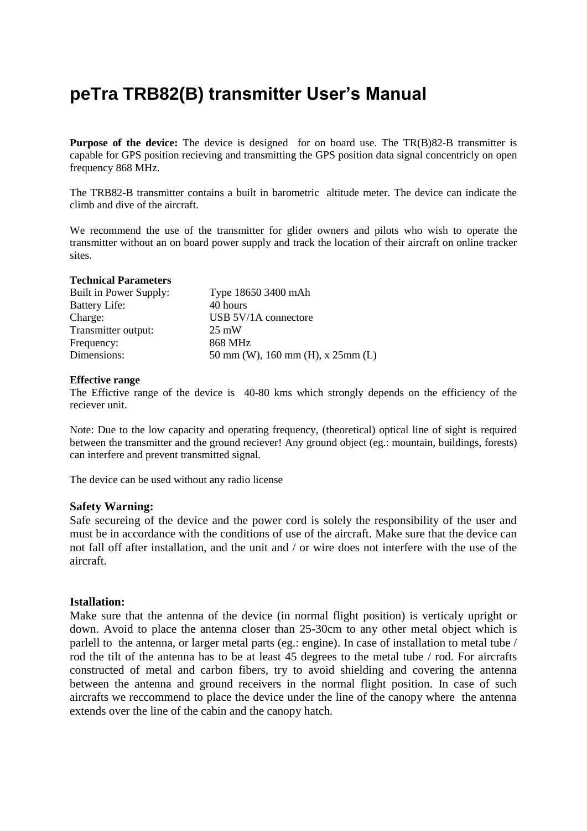# **peTra TRB82(B) transmitter User's Manual**

**Purpose of the device:** The device is designed for on board use. The TR(B)82-B transmitter is capable for GPS position recieving and transmitting the GPS position data signal concentricly on open frequency 868 MHz.

The TRB82-B transmitter contains a built in barometric altitude meter. The device can indicate the climb and dive of the aircraft.

We recommend the use of the transmitter for glider owners and pilots who wish to operate the transmitter without an on board power supply and track the location of their aircraft on online tracker sites.

#### **Technical Parameters**

| Built in Power Supply: | Type 18650 3400 mAh                  |
|------------------------|--------------------------------------|
| <b>Battery Life:</b>   | 40 hours                             |
| Charge:                | USB 5V/1A connectore                 |
| Transmitter output:    | $25 \text{ mW}$                      |
| Frequency:             | 868 MHz                              |
| Dimensions:            | 50 mm (W), 160 mm (H), x $25$ mm (L) |

## **Effective range**

The Effictive range of the device is 40-80 kms which strongly depends on the efficiency of the reciever unit.

Note: Due to the low capacity and operating frequency, (theoretical) optical line of sight is required between the transmitter and the ground reciever! Any ground object (eg.: mountain, buildings, forests) can interfere and prevent transmitted signal.

The device can be used without any radio license

## **Safety Warning:**

Safe secureing of the device and the power cord is solely the responsibility of the user and must be in accordance with the conditions of use of the aircraft. Make sure that the device can not fall off after installation, and the unit and / or wire does not interfere with the use of the aircraft.

## **Istallation:**

Make sure that the antenna of the device (in normal flight position) is verticaly upright or down. Avoid to place the antenna closer than 25-30cm to any other metal object which is parlell to the antenna, or larger metal parts (eg.: engine). In case of installation to metal tube / rod the tilt of the antenna has to be at least 45 degrees to the metal tube / rod. For aircrafts constructed of metal and carbon fibers, try to avoid shielding and covering the antenna between the antenna and ground receivers in the normal flight position. In case of such aircrafts we reccommend to place the device under the line of the canopy where the antenna extends over the line of the cabin and the canopy hatch.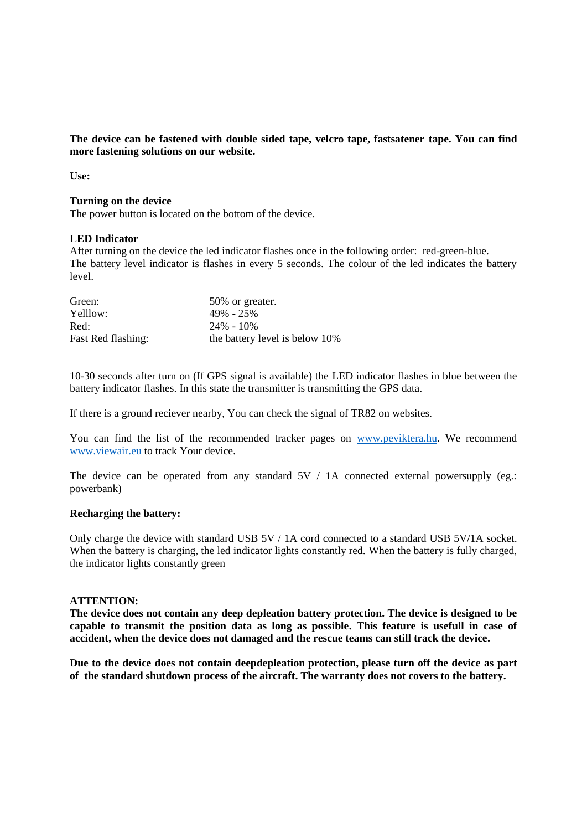**The device can be fastened with double sided tape, velcro tape, fastsatener tape. You can find more fastening solutions on our website.**

**Use:**

#### **Turning on the device**

The power button is located on the bottom of the device.

## **LED Indicator**

After turning on the device the led indicator flashes once in the following order: red-green-blue. The battery level indicator is flashes in every 5 seconds. The colour of the led indicates the battery level.

| Green:             | 50% or greater.                |
|--------------------|--------------------------------|
| Yelllow:           | 49% - 25%                      |
| Red:               | $24\% - 10\%$                  |
| Fast Red flashing: | the battery level is below 10% |

10-30 seconds after turn on (If GPS signal is available) the LED indicator flashes in blue between the battery indicator flashes. In this state the transmitter is transmitting the GPS data.

If there is a ground reciever nearby, You can check the signal of TR82 on websites.

You can find the list of the recommended tracker pages on [www.peviktera.hu.](http://www.peviktera.hu/) We recommend [www.viewair.eu](http://www.viewair.eu/) to track Your device.

The device can be operated from any standard  $5V / 1A$  connected external powersupply (eg.: powerbank)

## **Recharging the battery:**

Only charge the device with standard USB 5V / 1A cord connected to a standard USB 5V/1A socket. When the battery is charging, the led indicator lights constantly red. When the battery is fully charged, the indicator lights constantly green

#### **ATTENTION:**

**The device does not contain any deep depleation battery protection. The device is designed to be capable to transmit the position data as long as possible. This feature is usefull in case of accident, when the device does not damaged and the rescue teams can still track the device.**

**Due to the device does not contain deepdepleation protection, please turn off the device as part of the standard shutdown process of the aircraft. The warranty does not covers to the battery.**